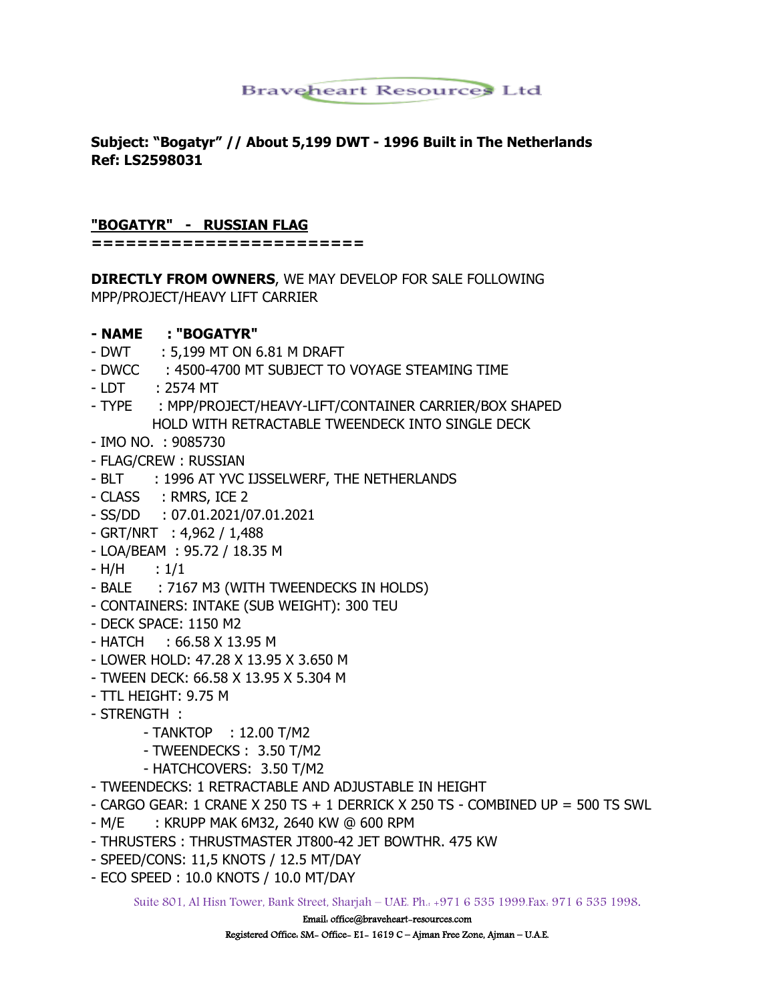# **Braveheart Resources Ltd**

### **Subject: "Bogatyr" // About 5,199 DWT - 1996 Built in The Netherlands Ref: LS2598031**

#### **"BOGATYR" - RUSSIAN FLAG**

**========================**

**DIRECTLY FROM OWNERS**, WE MAY DEVELOP FOR SALE FOLLOWING MPP/PROJECT/HEAVY LIFT CARRIER

#### **- NAME : "BOGATYR"**

- DWT : 5,199 MT ON 6.81 M DRAFT
- DWCC : 4500-4700 MT SUBJECT TO VOYAGE STEAMING TIME
- LDT : 2574 MT
- TYPE : MPP/PROJECT/HEAVY-LIFT/CONTAINER CARRIER/BOX SHAPED HOLD WITH RETRACTABLE TWEENDECK INTO SINGLE DECK
- IMO NO. : 9085730
- FLAG/CREW : RUSSIAN
- BLT : 1996 AT YVC IJSSELWERF, THE NETHERLANDS
- CLASS : RMRS, ICE 2
- SS/DD : 07.01.2021/07.01.2021
- GRT/NRT : 4,962 / 1,488
- LOA/BEAM : 95.72 / 18.35 M
- $-H/H$  :  $1/1$
- BALE : 7167 M3 (WITH TWEENDECKS IN HOLDS)
- CONTAINERS: INTAKE (SUB WEIGHT): 300 TEU
- DECK SPACE: 1150 M2
- HATCH : 66.58 X 13.95 M
- LOWER HOLD: 47.28 X 13.95 X 3.650 M
- TWEEN DECK: 66.58 X 13.95 X 5.304 M
- TTL HEIGHT: 9.75 M
- STRENGTH :
	- TANKTOP : 12.00 T/M2
	- TWEENDECKS : 3.50 T/M2
	- HATCHCOVERS: 3.50 T/M2
- TWEENDECKS: 1 RETRACTABLE AND ADJUSTABLE IN HEIGHT
- CARGO GEAR: 1 CRANE X 250 TS + 1 DERRICK X 250 TS COMBINED UP = 500 TS SWL
- M/E : KRUPP MAK 6M32, 2640 KW @ 600 RPM
- THRUSTERS : THRUSTMASTER JT800-42 JET BOWTHR. 475 KW
- SPEED/CONS: 11,5 KNOTS / 12.5 MT/DAY
- ECO SPEED : 10.0 KNOTS / 10.0 MT/DAY

Suite 801, Al Hisn Tower, Bank Street, Sharjah – UAE. Ph.: +971 6 535 1999.Fax: 971 6 535 1998.